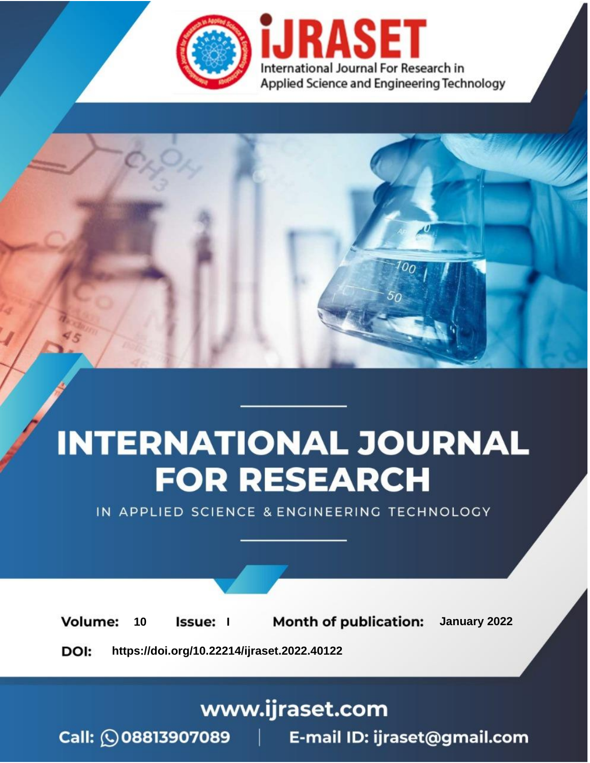

# **INTERNATIONAL JOURNAL FOR RESEARCH**

IN APPLIED SCIENCE & ENGINEERING TECHNOLOGY

**Month of publication:** January 2022 **Volume:** 10 **Issue:** I

DOI: https://doi.org/10.22214/ijraset.2022.40122

www.ijraset.com

 $Call: \bigcirc$ 08813907089 E-mail ID: ijraset@gmail.com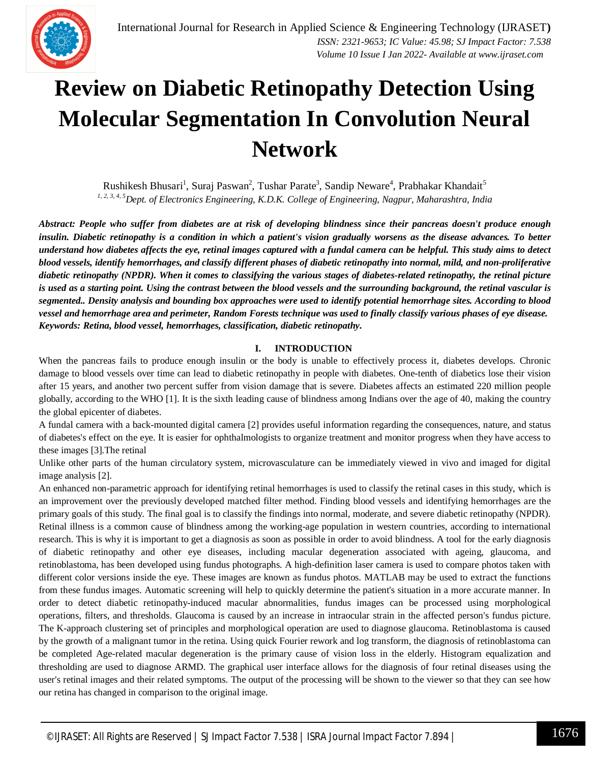### **Review on Diabetic Retinopathy Detection Using Molecular Segmentation In Convolution Neural Network**

Rushikesh Bhusari $^1$ , Suraj Paswan $^2$ , Tushar Parate $^3$ , Sandip Neware $^4$ , Prabhakar Khandait $^5$ *1, 2, 3, 4, <sup>5</sup>Dept. of Electronics Engineering, K.D.K. College of Engineering, Nagpur, Maharashtra, India* 

*Abstract: People who suffer from diabetes are at risk of developing blindness since their pancreas doesn't produce enough insulin. Diabetic retinopathy is a condition in which a patient's vision gradually worsens as the disease advances. To better understand how diabetes affects the eye, retinal images captured with a fundal camera can be helpful. This study aims to detect blood vessels, identify hemorrhages, and classify different phases of diabetic retinopathy into normal, mild, and non-proliferative diabetic retinopathy (NPDR). When it comes to classifying the various stages of diabetes-related retinopathy, the retinal picture is used as a starting point. Using the contrast between the blood vessels and the surrounding background, the retinal vascular is segmented.. Density analysis and bounding box approaches were used to identify potential hemorrhage sites. According to blood vessel and hemorrhage area and perimeter, Random Forests technique was used to finally classify various phases of eye disease. Keywords: Retina, blood vessel, hemorrhages, classification, diabetic retinopathy.*

#### **I. INTRODUCTION**

When the pancreas fails to produce enough insulin or the body is unable to effectively process it, diabetes develops. Chronic damage to blood vessels over time can lead to diabetic retinopathy in people with diabetes. One-tenth of diabetics lose their vision after 15 years, and another two percent suffer from vision damage that is severe. Diabetes affects an estimated 220 million people globally, according to the WHO [1]. It is the sixth leading cause of blindness among Indians over the age of 40, making the country the global epicenter of diabetes.

A fundal camera with a back-mounted digital camera [2] provides useful information regarding the consequences, nature, and status of diabetes's effect on the eye. It is easier for ophthalmologists to organize treatment and monitor progress when they have access to these images [3].The retinal

Unlike other parts of the human circulatory system, microvasculature can be immediately viewed in vivo and imaged for digital image analysis [2].

An enhanced non-parametric approach for identifying retinal hemorrhages is used to classify the retinal cases in this study, which is an improvement over the previously developed matched filter method. Finding blood vessels and identifying hemorrhages are the primary goals of this study. The final goal is to classify the findings into normal, moderate, and severe diabetic retinopathy (NPDR). Retinal illness is a common cause of blindness among the working-age population in western countries, according to international research. This is why it is important to get a diagnosis as soon as possible in order to avoid blindness. A tool for the early diagnosis of diabetic retinopathy and other eye diseases, including macular degeneration associated with ageing, glaucoma, and retinoblastoma, has been developed using fundus photographs. A high-definition laser camera is used to compare photos taken with different color versions inside the eye. These images are known as fundus photos. MATLAB may be used to extract the functions from these fundus images. Automatic screening will help to quickly determine the patient's situation in a more accurate manner. In order to detect diabetic retinopathy-induced macular abnormalities, fundus images can be processed using morphological operations, filters, and thresholds. Glaucoma is caused by an increase in intraocular strain in the affected person's fundus picture. The K-approach clustering set of principles and morphological operation are used to diagnose glaucoma. Retinoblastoma is caused by the growth of a malignant tumor in the retina. Using quick Fourier rework and log transform, the diagnosis of retinoblastoma can be completed Age-related macular degeneration is the primary cause of vision loss in the elderly. Histogram equalization and thresholding are used to diagnose ARMD. The graphical user interface allows for the diagnosis of four retinal diseases using the user's retinal images and their related symptoms. The output of the processing will be shown to the viewer so that they can see how our retina has changed in comparison to the original image.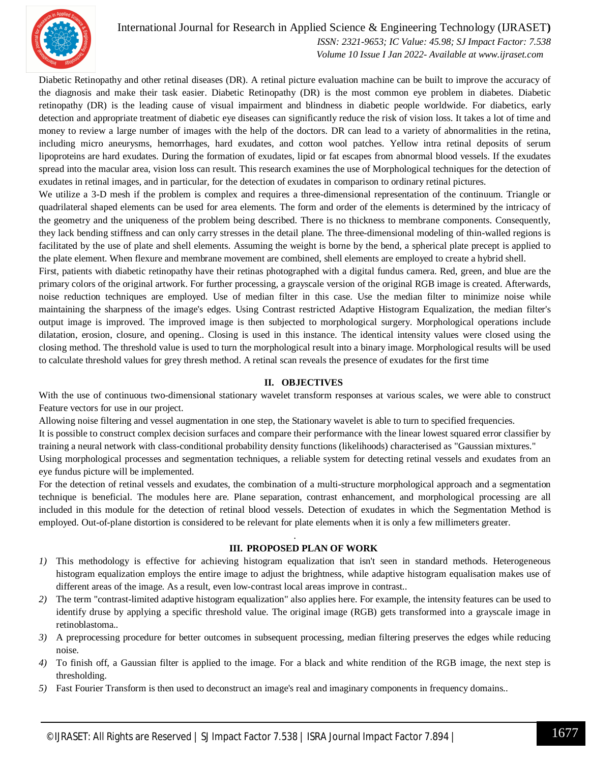

#### International Journal for Research in Applied Science & Engineering Technology (IJRASET**)**

 *ISSN: 2321-9653; IC Value: 45.98; SJ Impact Factor: 7.538 Volume 10 Issue I Jan 2022- Available at www.ijraset.com*

Diabetic Retinopathy and other retinal diseases (DR). A retinal picture evaluation machine can be built to improve the accuracy of the diagnosis and make their task easier. Diabetic Retinopathy (DR) is the most common eye problem in diabetes. Diabetic retinopathy (DR) is the leading cause of visual impairment and blindness in diabetic people worldwide. For diabetics, early detection and appropriate treatment of diabetic eye diseases can significantly reduce the risk of vision loss. It takes a lot of time and money to review a large number of images with the help of the doctors. DR can lead to a variety of abnormalities in the retina, including micro aneurysms, hemorrhages, hard exudates, and cotton wool patches. Yellow intra retinal deposits of serum lipoproteins are hard exudates. During the formation of exudates, lipid or fat escapes from abnormal blood vessels. If the exudates spread into the macular area, vision loss can result. This research examines the use of Morphological techniques for the detection of exudates in retinal images, and in particular, for the detection of exudates in comparison to ordinary retinal pictures.

We utilize a 3-D mesh if the problem is complex and requires a three-dimensional representation of the continuum. Triangle or quadrilateral shaped elements can be used for area elements. The form and order of the elements is determined by the intricacy of the geometry and the uniqueness of the problem being described. There is no thickness to membrane components. Consequently, they lack bending stiffness and can only carry stresses in the detail plane. The three-dimensional modeling of thin-walled regions is facilitated by the use of plate and shell elements. Assuming the weight is borne by the bend, a spherical plate precept is applied to the plate element. When flexure and membrane movement are combined, shell elements are employed to create a hybrid shell.

First, patients with diabetic retinopathy have their retinas photographed with a digital fundus camera. Red, green, and blue are the primary colors of the original artwork. For further processing, a grayscale version of the original RGB image is created. Afterwards, noise reduction techniques are employed. Use of median filter in this case. Use the median filter to minimize noise while maintaining the sharpness of the image's edges. Using Contrast restricted Adaptive Histogram Equalization, the median filter's output image is improved. The improved image is then subjected to morphological surgery. Morphological operations include dilatation, erosion, closure, and opening.. Closing is used in this instance. The identical intensity values were closed using the closing method. The threshold value is used to turn the morphological result into a binary image. Morphological results will be used to calculate threshold values for grey thresh method. A retinal scan reveals the presence of exudates for the first time

#### **II. OBJECTIVES**

With the use of continuous two-dimensional stationary wavelet transform responses at various scales, we were able to construct Feature vectors for use in our project.

Allowing noise filtering and vessel augmentation in one step, the Stationary wavelet is able to turn to specified frequencies.

It is possible to construct complex decision surfaces and compare their performance with the linear lowest squared error classifier by training a neural network with class-conditional probability density functions (likelihoods) characterised as "Gaussian mixtures."

Using morphological processes and segmentation techniques, a reliable system for detecting retinal vessels and exudates from an eye fundus picture will be implemented.

For the detection of retinal vessels and exudates, the combination of a multi-structure morphological approach and a segmentation technique is beneficial. The modules here are. Plane separation, contrast enhancement, and morphological processing are all included in this module for the detection of retinal blood vessels. Detection of exudates in which the Segmentation Method is employed. Out-of-plane distortion is considered to be relevant for plate elements when it is only a few millimeters greater.

.

#### **III. PROPOSED PLAN OF WORK**

- *1)* This methodology is effective for achieving histogram equalization that isn't seen in standard methods. Heterogeneous histogram equalization employs the entire image to adjust the brightness, while adaptive histogram equalisation makes use of different areas of the image. As a result, even low-contrast local areas improve in contrast..
- *2)* The term "contrast-limited adaptive histogram equalization" also applies here. For example, the intensity features can be used to identify druse by applying a specific threshold value. The original image (RGB) gets transformed into a grayscale image in retinoblastoma..
- *3)* A preprocessing procedure for better outcomes in subsequent processing, median filtering preserves the edges while reducing noise.
- *4)* To finish off, a Gaussian filter is applied to the image. For a black and white rendition of the RGB image, the next step is thresholding.
- *5)* Fast Fourier Transform is then used to deconstruct an image's real and imaginary components in frequency domains..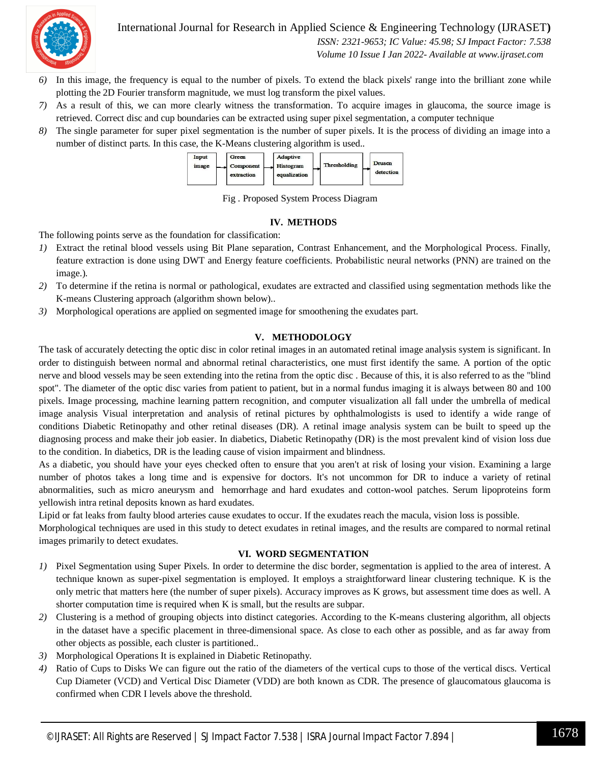

International Journal for Research in Applied Science & Engineering Technology (IJRASET**)**

 *ISSN: 2321-9653; IC Value: 45.98; SJ Impact Factor: 7.538 Volume 10 Issue I Jan 2022- Available at www.ijraset.com*

- *6)* In this image, the frequency is equal to the number of pixels. To extend the black pixels' range into the brilliant zone while plotting the 2D Fourier transform magnitude, we must log transform the pixel values.
- *7)* As a result of this, we can more clearly witness the transformation. To acquire images in glaucoma, the source image is retrieved. Correct disc and cup boundaries can be extracted using super pixel segmentation, a computer technique
- *8)* The single parameter for super pixel segmentation is the number of super pixels. It is the process of dividing an image into a number of distinct parts. In this case, the K-Means clustering algorithm is used..



Fig . Proposed System Process Diagram

#### **IV. METHODS**

The following points serve as the foundation for classification:

- *1)* Extract the retinal blood vessels using Bit Plane separation, Contrast Enhancement, and the Morphological Process. Finally, feature extraction is done using DWT and Energy feature coefficients. Probabilistic neural networks (PNN) are trained on the image.).
- *2)* To determine if the retina is normal or pathological, exudates are extracted and classified using segmentation methods like the K-means Clustering approach (algorithm shown below)..
- *3)* Morphological operations are applied on segmented image for smoothening the exudates part.

#### **V. METHODOLOGY**

The task of accurately detecting the optic disc in color retinal images in an automated retinal image analysis system is significant. In order to distinguish between normal and abnormal retinal characteristics, one must first identify the same. A portion of the optic nerve and blood vessels may be seen extending into the retina from the optic disc . Because of this, it is also referred to as the "blind spot". The diameter of the optic disc varies from patient to patient, but in a normal fundus imaging it is always between 80 and 100 pixels. Image processing, machine learning pattern recognition, and computer visualization all fall under the umbrella of medical image analysis Visual interpretation and analysis of retinal pictures by ophthalmologists is used to identify a wide range of conditions Diabetic Retinopathy and other retinal diseases (DR). A retinal image analysis system can be built to speed up the diagnosing process and make their job easier. In diabetics, Diabetic Retinopathy (DR) is the most prevalent kind of vision loss due to the condition. In diabetics, DR is the leading cause of vision impairment and blindness.

As a diabetic, you should have your eyes checked often to ensure that you aren't at risk of losing your vision. Examining a large number of photos takes a long time and is expensive for doctors. It's not uncommon for DR to induce a variety of retinal abnormalities, such as micro aneurysm and hemorrhage and hard exudates and cotton-wool patches. Serum lipoproteins form yellowish intra retinal deposits known as hard exudates.

Lipid or fat leaks from faulty blood arteries cause exudates to occur. If the exudates reach the macula, vision loss is possible.

Morphological techniques are used in this study to detect exudates in retinal images, and the results are compared to normal retinal images primarily to detect exudates.

#### **VI. WORD SEGMENTATION**

- *1)* Pixel Segmentation using Super Pixels. In order to determine the disc border, segmentation is applied to the area of interest. A technique known as super-pixel segmentation is employed. It employs a straightforward linear clustering technique. K is the only metric that matters here (the number of super pixels). Accuracy improves as K grows, but assessment time does as well. A shorter computation time is required when K is small, but the results are subpar.
- *2)* Clustering is a method of grouping objects into distinct categories. According to the K-means clustering algorithm, all objects in the dataset have a specific placement in three-dimensional space. As close to each other as possible, and as far away from other objects as possible, each cluster is partitioned..
- *3)* Morphological Operations It is explained in Diabetic Retinopathy.
- *4)* Ratio of Cups to Disks We can figure out the ratio of the diameters of the vertical cups to those of the vertical discs. Vertical Cup Diameter (VCD) and Vertical Disc Diameter (VDD) are both known as CDR. The presence of glaucomatous glaucoma is confirmed when CDR I levels above the threshold.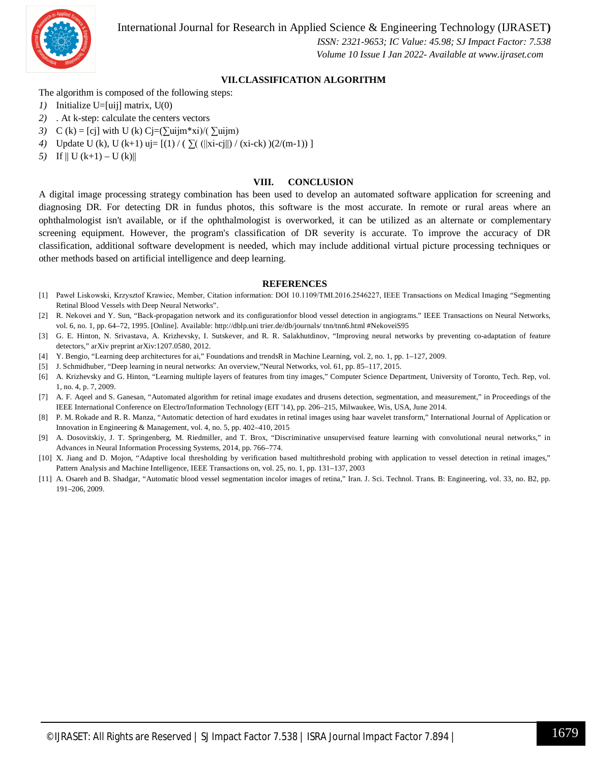

International Journal for Research in Applied Science & Engineering Technology (IJRASET**)**

 *ISSN: 2321-9653; IC Value: 45.98; SJ Impact Factor: 7.538 Volume 10 Issue I Jan 2022- Available at www.ijraset.com*

#### **VII.CLASSIFICATION ALGORITHM**

The algorithm is composed of the following steps:

- *1)* Initialize U=[uij] matrix, U(0)
- *2)* . At k-step: calculate the centers vectors
- *3*) C (k) = [cj] with U (k) Cj=( $\sum$ uijm\*xi)/( $\sum$ uijm)
- *4*) Update U (k), U (k+1) uj= [(1) / (∑( (||xi-cj||) / (xi-ck) )(2/(m-1)) ]
- *5*) If  $\| U (k+1) U (k) \|$

#### **VIII. CONCLUSION**

A digital image processing strategy combination has been used to develop an automated software application for screening and diagnosing DR. For detecting DR in fundus photos, this software is the most accurate. In remote or rural areas where an ophthalmologist isn't available, or if the ophthalmologist is overworked, it can be utilized as an alternate or complementary screening equipment. However, the program's classification of DR severity is accurate. To improve the accuracy of DR classification, additional software development is needed, which may include additional virtual picture processing techniques or other methods based on artificial intelligence and deep learning.

#### **REFERENCES**

- [1] Paweł Liskowski, Krzysztof Krawiec, Member, Citation information: DOI 10.1109/TMI.2016.2546227, IEEE Transactions on Medical Imaging "Segmenting Retinal Blood Vessels with Deep Neural Networks".
- [2] R. Nekovei and Y. Sun, "Back-propagation network and its configurationfor blood vessel detection in angiograms." IEEE Transactions on Neural Networks, vol. 6, no. 1, pp. 64–72, 1995. [Online]. Available: http://dblp.uni trier.de/db/journals/ tnn/tnn6.html #NekoveiS95
- [3] G. E. Hinton, N. Srivastava, A. Krizhevsky, I. Sutskever, and R. R. Salakhutdinov, "Improving neural networks by preventing co-adaptation of feature detectors," arXiv preprint arXiv:1207.0580, 2012.
- [4] Y. Bengio, "Learning deep architectures for ai," Foundations and trendsR in Machine Learning, vol. 2, no. 1, pp. 1–127, 2009.
- [5] J. Schmidhuber, "Deep learning in neural networks: An overview,"Neural Networks, vol. 61, pp. 85–117, 2015.
- [6] A. Krizhevsky and G. Hinton, "Learning multiple layers of features from tiny images," Computer Science Department, University of Toronto, Tech. Rep, vol. 1, no. 4, p. 7, 2009.
- [7] A. F. Aqeel and S. Ganesan, "Automated algorithm for retinal image exudates and drusens detection, segmentation, and measurement," in Proceedings of the IEEE International Conference on Electro/Information Technology (EIT '14), pp. 206–215, Milwaukee, Wis, USA, June 2014.
- [8] P. M. Rokade and R. R. Manza, "Automatic detection of hard exudates in retinal images using haar wavelet transform," International Journal of Application or Innovation in Engineering & Management, vol. 4, no. 5, pp. 402–410, 2015
- [9] A. Dosovitskiy, J. T. Springenberg, M. Riedmiller, and T. Brox, "Discriminative unsupervised feature learning with convolutional neural networks," in Advances in Neural Information Processing Systems, 2014, pp. 766–774.
- [10] X. Jiang and D. Mojon, "Adaptive local thresholding by verification based multithreshold probing with application to vessel detection in retinal images," Pattern Analysis and Machine Intelligence, IEEE Transactions on, vol. 25, no. 1, pp. 131–137, 2003
- [11] A. Osareh and B. Shadgar, "Automatic blood vessel segmentation incolor images of retina," Iran. J. Sci. Technol. Trans. B: Engineering, vol. 33, no. B2, pp. 191–206, 2009.